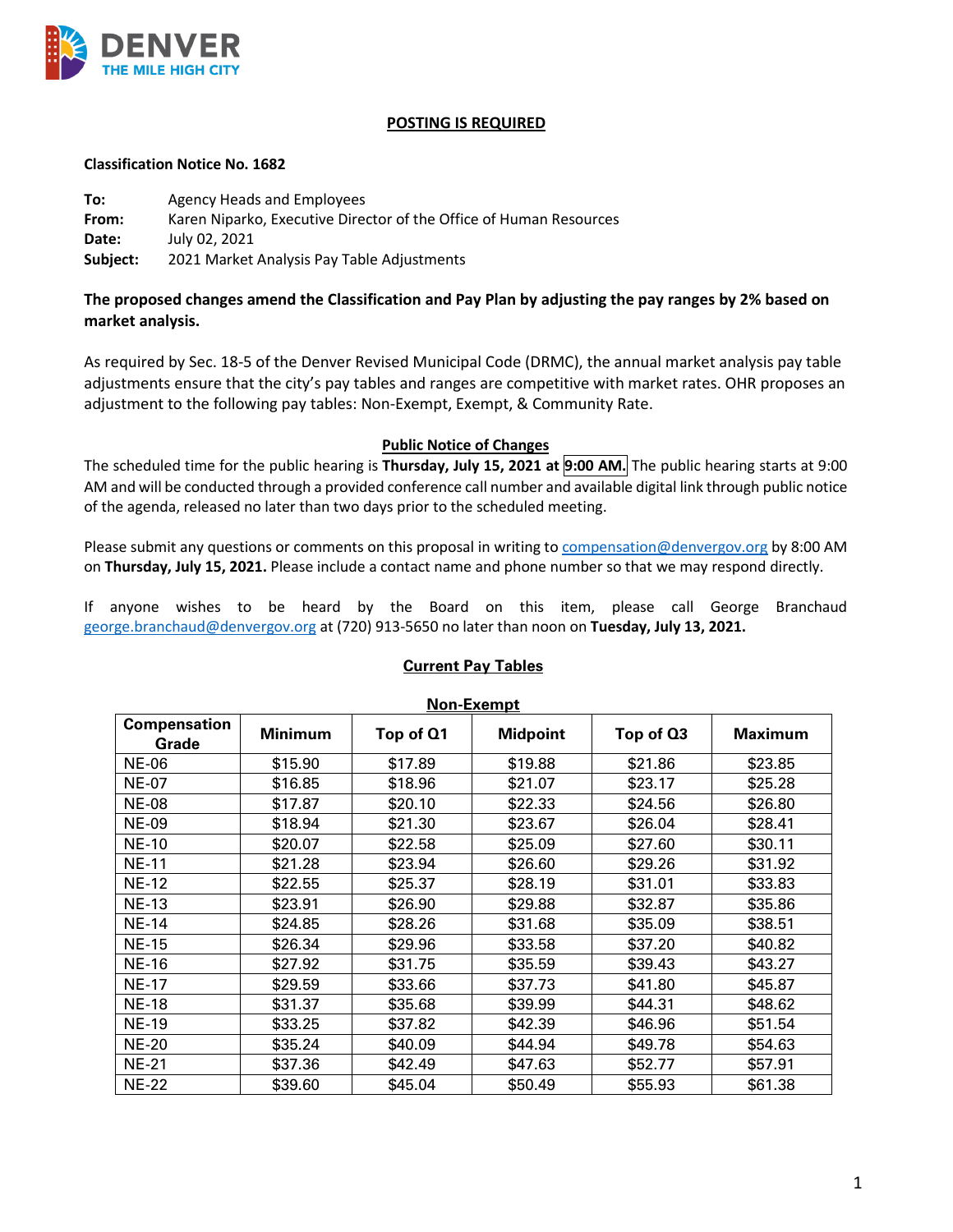

## **POSTING IS REQUIRED**

#### **Classification Notice No. 1682**

| To:      | Agency Heads and Employees                                         |
|----------|--------------------------------------------------------------------|
| From:    | Karen Niparko, Executive Director of the Office of Human Resources |
| Date:    | July 02, 2021                                                      |
| Subject: | 2021 Market Analysis Pay Table Adjustments                         |

# **The proposed changes amend the Classification and Pay Plan by adjusting the pay ranges by 2% based on market analysis.**

As required by Sec. 18-5 of the Denver Revised Municipal Code (DRMC), the annual market analysis pay table adjustments ensure that the city's pay tables and ranges are competitive with market rates. OHR proposes an adjustment to the following pay tables: Non-Exempt, Exempt, & Community Rate.

### **Public Notice of Changes**

The scheduled time for the public hearing is **Thursday, July 15, 2021 at 9:00 AM.** The public hearing starts at 9:00 AM and will be conducted through a provided conference call number and available digital link through public notice of the agenda, released no later than two days prior to the scheduled meeting.

Please submit any questions or comments on this proposal in writing to [compensation@denvergov.org](mailto:compensation@denvergov.org) by 8:00 AM on **Thursday, July 15, 2021.** Please include a contact name and phone number so that we may respond directly.

If anyone wishes to be heard by the Board on this item, please call George Branchaud [george.branchaud@denvergov.org](mailto:george.branchaud@denvergov.org) at (720) 913-5650 no later than noon on **Tuesday, July 13, 2021.** 

| Non-Exempt                   |                |           |                 |           |                |  |  |
|------------------------------|----------------|-----------|-----------------|-----------|----------------|--|--|
| <b>Compensation</b><br>Grade | <b>Minimum</b> | Top of Q1 | <b>Midpoint</b> | Top of Q3 | <b>Maximum</b> |  |  |
| <b>NE-06</b>                 | \$15.90        | \$17.89   | \$19.88         | \$21.86   | \$23.85        |  |  |
| <b>NE-07</b>                 | \$16.85        | \$18.96   | \$21.07         | \$23.17   | \$25.28        |  |  |
| <b>NE-08</b>                 | \$17.87        | \$20.10   | \$22.33         | \$24.56   | \$26.80        |  |  |
| <b>NE-09</b>                 | \$18.94        | \$21.30   | \$23.67         | \$26.04   | \$28.41        |  |  |
| <b>NE-10</b>                 | \$20.07        | \$22.58   | \$25.09         | \$27.60   | \$30.11        |  |  |
| <b>NE-11</b>                 | \$21.28        | \$23.94   | \$26.60         | \$29.26   | \$31.92        |  |  |
| <b>NE-12</b>                 | \$22.55        | \$25.37   | \$28.19         | \$31.01   | \$33.83        |  |  |
| <b>NE-13</b>                 | \$23.91        | \$26.90   | \$29.88         | \$32.87   | \$35.86        |  |  |
| NE-14                        | \$24.85        | \$28.26   | \$31.68         | \$35.09   | \$38.51        |  |  |
| <b>NE-15</b>                 | \$26.34        | \$29.96   | \$33.58         | \$37.20   | \$40.82        |  |  |
| <b>NE-16</b>                 | \$27.92        | \$31.75   | \$35.59         | \$39.43   | \$43.27        |  |  |
| <b>NE-17</b>                 | \$29.59        | \$33.66   | \$37.73         | \$41.80   | \$45.87        |  |  |
| <b>NE-18</b>                 | \$31.37        | \$35.68   | \$39.99         | \$44.31   | \$48.62        |  |  |
| <b>NE-19</b>                 | \$33.25        | \$37.82   | \$42.39         | \$46.96   | \$51.54        |  |  |
| <b>NE-20</b>                 | \$35.24        | \$40.09   | \$44.94         | \$49.78   | \$54.63        |  |  |
| <b>NE-21</b>                 | \$37.36        | \$42.49   | \$47.63         | \$52.77   | \$57.91        |  |  |
| <b>NE-22</b>                 | \$39.60        | \$45.04   | \$50.49         | \$55.93   | \$61.38        |  |  |

# **Current Pay Tables**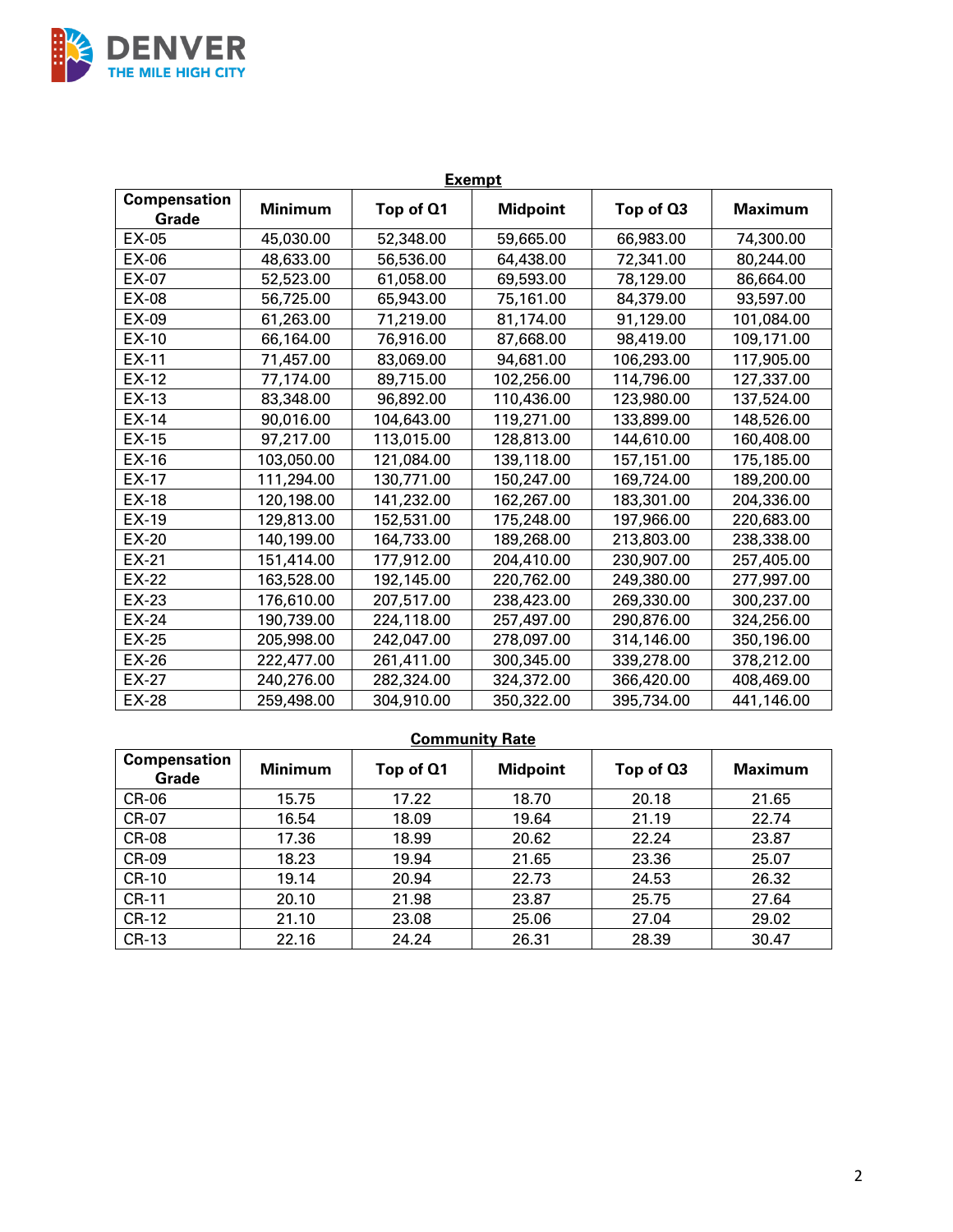

| <b>Exempt</b>                |                |            |                 |            |                |  |
|------------------------------|----------------|------------|-----------------|------------|----------------|--|
| <b>Compensation</b><br>Grade | <b>Minimum</b> | Top of Q1  | <b>Midpoint</b> | Top of Q3  | <b>Maximum</b> |  |
| EX-05                        | 45,030.00      | 52,348.00  | 59,665.00       | 66,983.00  | 74,300.00      |  |
| EX-06                        | 48,633.00      | 56,536.00  | 64,438.00       | 72,341.00  | 80,244.00      |  |
| EX-07                        | 52,523.00      | 61,058.00  | 69,593.00       | 78,129.00  | 86,664.00      |  |
| EX-08                        | 56,725.00      | 65,943.00  | 75,161.00       | 84,379.00  | 93,597.00      |  |
| EX-09                        | 61,263.00      | 71,219.00  | 81,174.00       | 91,129.00  | 101,084.00     |  |
| EX-10                        | 66,164.00      | 76,916.00  | 87,668.00       | 98,419.00  | 109,171.00     |  |
| EX-11                        | 71,457.00      | 83,069.00  | 94,681.00       | 106,293.00 | 117,905.00     |  |
| EX-12                        | 77,174.00      | 89,715.00  | 102,256.00      | 114,796.00 | 127,337.00     |  |
| EX-13                        | 83,348.00      | 96,892.00  | 110,436.00      | 123,980.00 | 137,524.00     |  |
| EX-14                        | 90,016.00      | 104,643.00 | 119,271.00      | 133,899.00 | 148,526.00     |  |
| <b>EX-15</b>                 | 97,217.00      | 113,015.00 | 128,813.00      | 144,610.00 | 160,408.00     |  |
| EX-16                        | 103,050.00     | 121,084.00 | 139,118.00      | 157,151.00 | 175,185.00     |  |
| EX-17                        | 111,294.00     | 130,771.00 | 150,247.00      | 169,724.00 | 189,200.00     |  |
| <b>EX-18</b>                 | 120,198.00     | 141,232.00 | 162,267.00      | 183,301.00 | 204,336.00     |  |
| EX-19                        | 129,813.00     | 152,531.00 | 175,248.00      | 197,966.00 | 220,683.00     |  |
| EX-20                        | 140,199.00     | 164,733.00 | 189,268.00      | 213,803.00 | 238,338.00     |  |
| $EX-21$                      | 151,414.00     | 177,912.00 | 204,410.00      | 230,907.00 | 257,405.00     |  |
| EX-22                        | 163,528.00     | 192,145.00 | 220,762.00      | 249,380.00 | 277,997.00     |  |
| EX-23                        | 176,610.00     | 207,517.00 | 238,423.00      | 269,330.00 | 300,237.00     |  |
| <b>EX-24</b>                 | 190,739.00     | 224,118.00 | 257,497.00      | 290,876.00 | 324,256.00     |  |
| <b>EX-25</b>                 | 205,998.00     | 242,047.00 | 278,097.00      | 314,146.00 | 350,196.00     |  |
| EX-26                        | 222,477.00     | 261,411.00 | 300,345.00      | 339,278.00 | 378,212.00     |  |
| EX-27                        | 240,276.00     | 282,324.00 | 324,372.00      | 366,420.00 | 408,469.00     |  |
| <b>EX-28</b>                 | 259,498.00     | 304,910.00 | 350,322.00      | 395,734.00 | 441,146.00     |  |

# **Community Rate**

| <b>Compensation</b><br>Grade | <b>Minimum</b> | Top of Q1 | <b>Midpoint</b> | Top of Q3 | <b>Maximum</b> |
|------------------------------|----------------|-----------|-----------------|-----------|----------------|
| <b>CR-06</b>                 | 15.75          | 17.22     | 18.70           | 20.18     | 21.65          |
| <b>CR-07</b>                 | 16.54          | 18.09     | 19.64           | 21.19     | 22.74          |
| <b>CR-08</b>                 | 17.36          | 18.99     | 20.62           | 22.24     | 23.87          |
| <b>CR-09</b>                 | 18.23          | 19.94     | 21.65           | 23.36     | 25.07          |
| <b>CR-10</b>                 | 19.14          | 20.94     | 22.73           | 24.53     | 26.32          |
| <b>CR-11</b>                 | 20.10          | 21.98     | 23.87           | 25.75     | 27.64          |
| CR-12                        | 21.10          | 23.08     | 25.06           | 27.04     | 29.02          |
| CR-13                        | 22.16          | 24.24     | 26.31           | 28.39     | 30.47          |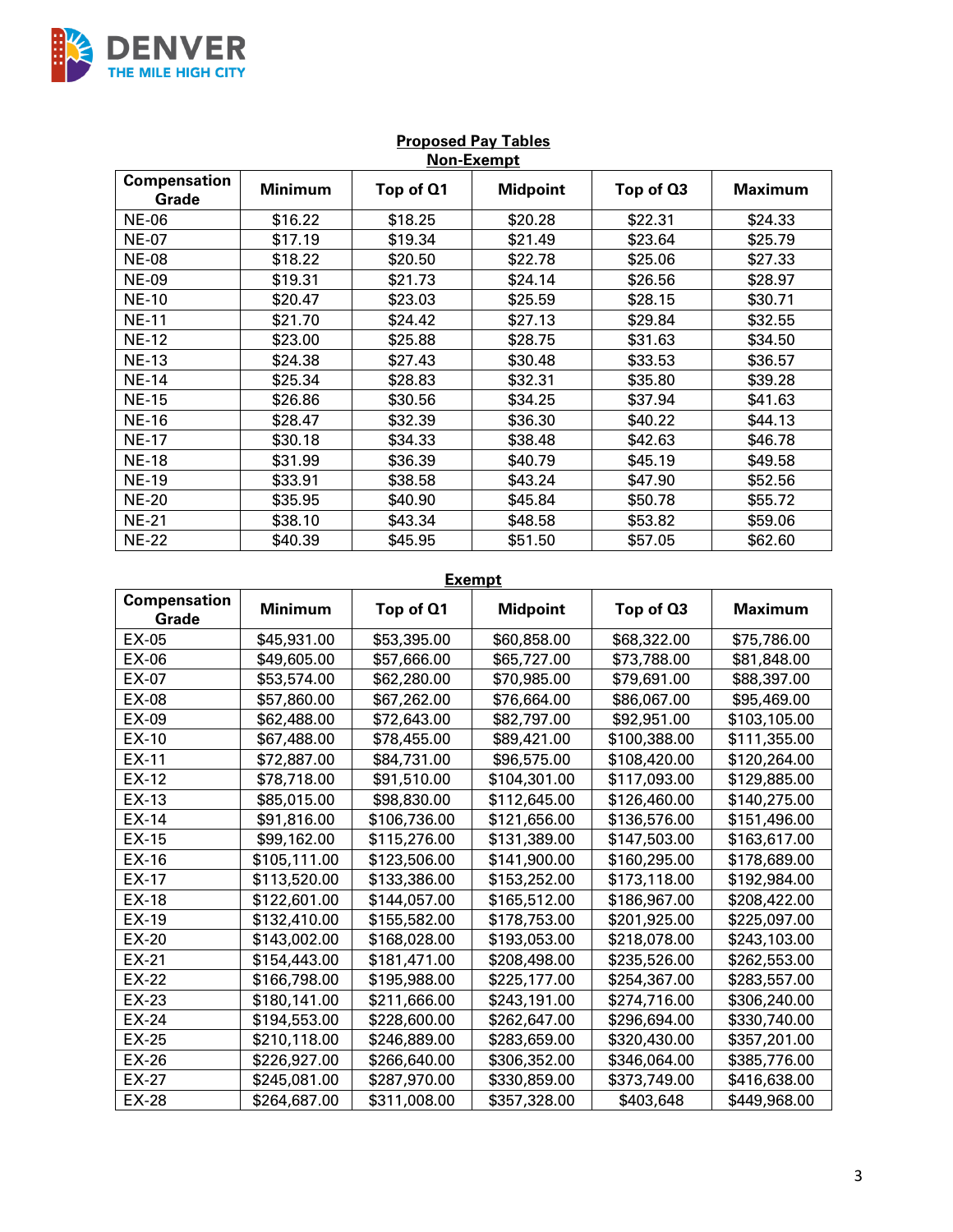

| <b>INON-EXEMPL</b>           |                |           |                 |           |                |  |
|------------------------------|----------------|-----------|-----------------|-----------|----------------|--|
| <b>Compensation</b><br>Grade | <b>Minimum</b> | Top of Q1 | <b>Midpoint</b> | Top of Q3 | <b>Maximum</b> |  |
| <b>NE-06</b>                 | \$16.22        | \$18.25   | \$20.28         | \$22.31   | \$24.33        |  |
| <b>NE-07</b>                 | \$17.19        | \$19.34   | \$21.49         | \$23.64   | \$25.79        |  |
| <b>NE-08</b>                 | \$18.22        | \$20.50   | \$22.78         | \$25.06   | \$27.33        |  |
| <b>NE-09</b>                 | \$19.31        | \$21.73   | \$24.14         | \$26.56   | \$28.97        |  |
| <b>NE-10</b>                 | \$20.47        | \$23.03   | \$25.59         | \$28.15   | \$30.71        |  |
| <b>NE-11</b>                 | \$21.70        | \$24.42   | \$27.13         | \$29.84   | \$32.55        |  |
| <b>NE-12</b>                 | \$23.00        | \$25.88   | \$28.75         | \$31.63   | \$34.50        |  |
| <b>NE-13</b>                 | \$24.38        | \$27.43   | \$30.48         | \$33.53   | \$36.57        |  |
| <b>NE-14</b>                 | \$25.34        | \$28.83   | \$32.31         | \$35.80   | \$39.28        |  |
| <b>NE-15</b>                 | \$26.86        | \$30.56   | \$34.25         | \$37.94   | \$41.63        |  |
| <b>NE-16</b>                 | \$28.47        | \$32.39   | \$36.30         | \$40.22   | \$44.13        |  |
| <b>NE-17</b>                 | \$30.18        | \$34.33   | \$38.48         | \$42.63   | \$46.78        |  |
| <b>NE-18</b>                 | \$31.99        | \$36.39   | \$40.79         | \$45.19   | \$49.58        |  |
| <b>NE-19</b>                 | \$33.91        | \$38.58   | \$43.24         | \$47.90   | \$52.56        |  |
| <b>NE-20</b>                 | \$35.95        | \$40.90   | \$45.84         | \$50.78   | \$55.72        |  |
| <b>NE-21</b>                 | \$38.10        | \$43.34   | \$48.58         | \$53.82   | \$59.06        |  |
| <b>NE-22</b>                 | \$40.39        | \$45.95   | \$51.50         | \$57.05   | \$62.60        |  |

#### **Proposed Pay Tables Non-Exempt**

### **Exempt**

| <b>Compensation</b><br>Grade | <b>Minimum</b> | Top of Q1    | <b>Midpoint</b> | Top of Q3    | <b>Maximum</b> |
|------------------------------|----------------|--------------|-----------------|--------------|----------------|
| EX-05                        | \$45,931.00    | \$53,395.00  | \$60,858.00     | \$68,322.00  | \$75,786.00    |
| EX-06                        | \$49,605.00    | \$57,666.00  | \$65,727.00     | \$73,788.00  | \$81,848.00    |
| EX-07                        | \$53,574.00    | \$62,280.00  | \$70,985.00     | \$79,691.00  | \$88,397.00    |
| EX-08                        | \$57,860.00    | \$67,262.00  | \$76,664.00     | \$86,067.00  | \$95,469.00    |
| EX-09                        | \$62,488.00    | \$72,643.00  | \$82,797.00     | \$92,951.00  | \$103,105.00   |
| EX-10                        | \$67,488.00    | \$78,455.00  | \$89,421.00     | \$100,388.00 | \$111,355.00   |
| EX-11                        | \$72,887.00    | \$84,731.00  | \$96,575.00     | \$108,420.00 | \$120,264.00   |
| EX-12                        | \$78,718.00    | \$91,510.00  | \$104,301.00    | \$117,093.00 | \$129,885.00   |
| EX-13                        | \$85,015.00    | \$98,830.00  | \$112,645.00    | \$126,460.00 | \$140,275.00   |
| $EX-14$                      | \$91,816.00    | \$106,736.00 | \$121,656.00    | \$136,576.00 | \$151,496.00   |
| EX-15                        | \$99,162.00    | \$115,276.00 | \$131,389.00    | \$147,503.00 | \$163,617.00   |
| EX-16                        | \$105,111.00   | \$123,506.00 | \$141,900.00    | \$160,295.00 | \$178,689.00   |
| EX-17                        | \$113,520.00   | \$133,386.00 | \$153,252.00    | \$173,118.00 | \$192,984.00   |
| EX-18                        | \$122,601.00   | \$144,057.00 | \$165,512.00    | \$186,967.00 | \$208,422.00   |
| EX-19                        | \$132,410.00   | \$155,582.00 | \$178,753.00    | \$201,925.00 | \$225,097.00   |
| $EX-20$                      | \$143,002.00   | \$168,028.00 | \$193,053.00    | \$218,078.00 | \$243,103.00   |
| $EX-21$                      | \$154,443.00   | \$181,471.00 | \$208,498.00    | \$235,526.00 | \$262,553.00   |
| EX-22                        | \$166,798.00   | \$195,988.00 | \$225,177.00    | \$254,367.00 | \$283,557.00   |
| EX-23                        | \$180,141.00   | \$211,666.00 | \$243,191.00    | \$274,716.00 | \$306,240.00   |
| $EX-24$                      | \$194,553.00   | \$228,600.00 | \$262,647.00    | \$296,694.00 | \$330,740.00   |
| EX-25                        | \$210,118.00   | \$246,889.00 | \$283,659.00    | \$320,430.00 | \$357,201.00   |
| EX-26                        | \$226,927.00   | \$266,640.00 | \$306,352.00    | \$346,064.00 | \$385,776.00   |
| EX-27                        | \$245,081.00   | \$287,970.00 | \$330,859.00    | \$373,749.00 | \$416,638.00   |
| EX-28                        | \$264,687.00   | \$311,008.00 | \$357,328.00    | \$403,648    | \$449,968.00   |